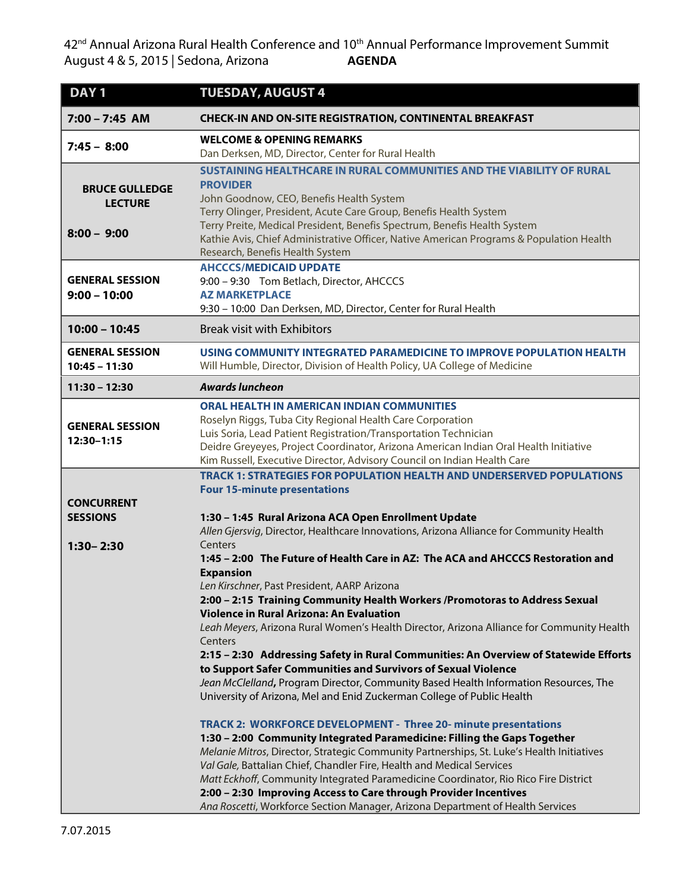$42<sup>nd</sup>$  Annual Arizona Rural Health Conference and 10<sup>th</sup> Annual Performance Improvement Summit<br>August 4 & 5, 2015 | Sedona, Arizona **AGENDA** August 4 & 5, 2015 | Sedona, Arizona

| DAY <sub>1</sub>                                         | <b>TUESDAY, AUGUST 4</b>                                                                                                                                                                                                                                                                                                                                                                                                                                                                                                                                                                                                                                                                                                                                                                                                                                                                                                                                                                                                                                                                                                                                                                                                                                                                                                                                                                                                                                                                                                                                                       |
|----------------------------------------------------------|--------------------------------------------------------------------------------------------------------------------------------------------------------------------------------------------------------------------------------------------------------------------------------------------------------------------------------------------------------------------------------------------------------------------------------------------------------------------------------------------------------------------------------------------------------------------------------------------------------------------------------------------------------------------------------------------------------------------------------------------------------------------------------------------------------------------------------------------------------------------------------------------------------------------------------------------------------------------------------------------------------------------------------------------------------------------------------------------------------------------------------------------------------------------------------------------------------------------------------------------------------------------------------------------------------------------------------------------------------------------------------------------------------------------------------------------------------------------------------------------------------------------------------------------------------------------------------|
| $7:00 - 7:45$ AM                                         | <b>CHECK-IN AND ON-SITE REGISTRATION, CONTINENTAL BREAKFAST</b>                                                                                                                                                                                                                                                                                                                                                                                                                                                                                                                                                                                                                                                                                                                                                                                                                                                                                                                                                                                                                                                                                                                                                                                                                                                                                                                                                                                                                                                                                                                |
| $7:45 - 8:00$                                            | <b>WELCOME &amp; OPENING REMARKS</b><br>Dan Derksen, MD, Director, Center for Rural Health                                                                                                                                                                                                                                                                                                                                                                                                                                                                                                                                                                                                                                                                                                                                                                                                                                                                                                                                                                                                                                                                                                                                                                                                                                                                                                                                                                                                                                                                                     |
| <b>BRUCE GULLEDGE</b><br><b>LECTURE</b><br>$8:00 - 9:00$ | SUSTAINING HEALTHCARE IN RURAL COMMUNITIES AND THE VIABILITY OF RURAL<br><b>PROVIDER</b><br>John Goodnow, CEO, Benefis Health System<br>Terry Olinger, President, Acute Care Group, Benefis Health System<br>Terry Preite, Medical President, Benefis Spectrum, Benefis Health System<br>Kathie Avis, Chief Administrative Officer, Native American Programs & Population Health<br>Research, Benefis Health System                                                                                                                                                                                                                                                                                                                                                                                                                                                                                                                                                                                                                                                                                                                                                                                                                                                                                                                                                                                                                                                                                                                                                            |
| <b>GENERAL SESSION</b><br>$9:00 - 10:00$                 | <b>AHCCCS/MEDICAID UPDATE</b><br>9:00 - 9:30 Tom Betlach, Director, AHCCCS<br><b>AZ MARKETPLACE</b><br>9:30 - 10:00 Dan Derksen, MD, Director, Center for Rural Health                                                                                                                                                                                                                                                                                                                                                                                                                                                                                                                                                                                                                                                                                                                                                                                                                                                                                                                                                                                                                                                                                                                                                                                                                                                                                                                                                                                                         |
| $10:00 - 10:45$                                          | <b>Break visit with Exhibitors</b>                                                                                                                                                                                                                                                                                                                                                                                                                                                                                                                                                                                                                                                                                                                                                                                                                                                                                                                                                                                                                                                                                                                                                                                                                                                                                                                                                                                                                                                                                                                                             |
| <b>GENERAL SESSION</b><br>$10:45 - 11:30$                | USING COMMUNITY INTEGRATED PARAMEDICINE TO IMPROVE POPULATION HEALTH<br>Will Humble, Director, Division of Health Policy, UA College of Medicine                                                                                                                                                                                                                                                                                                                                                                                                                                                                                                                                                                                                                                                                                                                                                                                                                                                                                                                                                                                                                                                                                                                                                                                                                                                                                                                                                                                                                               |
| $11:30 - 12:30$                                          | <b>Awards luncheon</b>                                                                                                                                                                                                                                                                                                                                                                                                                                                                                                                                                                                                                                                                                                                                                                                                                                                                                                                                                                                                                                                                                                                                                                                                                                                                                                                                                                                                                                                                                                                                                         |
| <b>GENERAL SESSION</b><br>12:30-1:15                     | <b>ORAL HEALTH IN AMERICAN INDIAN COMMUNITIES</b><br>Roselyn Riggs, Tuba City Regional Health Care Corporation<br>Luis Soria, Lead Patient Registration/Transportation Technician<br>Deidre Greyeyes, Project Coordinator, Arizona American Indian Oral Health Initiative<br>Kim Russell, Executive Director, Advisory Council on Indian Health Care                                                                                                                                                                                                                                                                                                                                                                                                                                                                                                                                                                                                                                                                                                                                                                                                                                                                                                                                                                                                                                                                                                                                                                                                                           |
| <b>CONCURRENT</b><br><b>SESSIONS</b><br>$1:30 - 2:30$    | <b>TRACK 1: STRATEGIES FOR POPULATION HEALTH AND UNDERSERVED POPULATIONS</b><br><b>Four 15-minute presentations</b><br>1:30 - 1:45 Rural Arizona ACA Open Enrollment Update<br>Allen Gjersvig, Director, Healthcare Innovations, Arizona Alliance for Community Health<br>Centers<br>1:45 - 2:00 The Future of Health Care in AZ: The ACA and AHCCCS Restoration and<br><b>Expansion</b><br>Len Kirschner, Past President, AARP Arizona<br>2:00 - 2:15 Training Community Health Workers /Promotoras to Address Sexual<br><b>Violence in Rural Arizona: An Evaluation</b><br>Leah Meyers, Arizona Rural Women's Health Director, Arizona Alliance for Community Health<br>Centers<br>2:15 - 2:30 Addressing Safety in Rural Communities: An Overview of Statewide Efforts<br>to Support Safer Communities and Survivors of Sexual Violence<br>Jean McClelland, Program Director, Community Based Health Information Resources, The<br>University of Arizona, Mel and Enid Zuckerman College of Public Health<br>TRACK 2: WORKFORCE DEVELOPMENT - Three 20- minute presentations<br>1:30 - 2:00 Community Integrated Paramedicine: Filling the Gaps Together<br>Melanie Mitros, Director, Strategic Community Partnerships, St. Luke's Health Initiatives<br>Val Gale, Battalian Chief, Chandler Fire, Health and Medical Services<br>Matt Eckhoff, Community Integrated Paramedicine Coordinator, Rio Rico Fire District<br>2:00 - 2:30 Improving Access to Care through Provider Incentives<br>Ana Roscetti, Workforce Section Manager, Arizona Department of Health Services |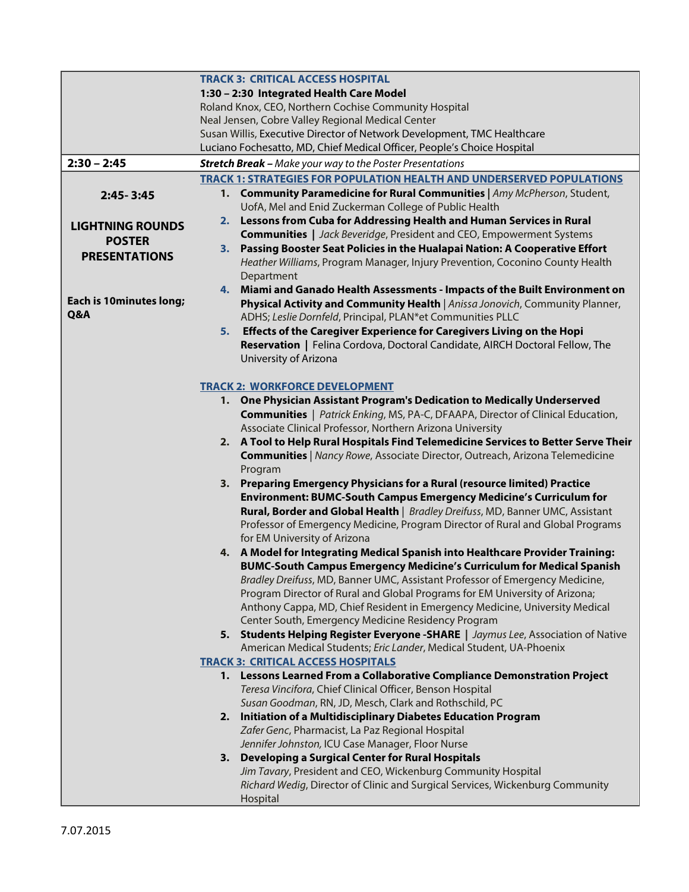|                                |                                                       | <b>TRACK 3: CRITICAL ACCESS HOSPITAL</b>                                                                                          |  |
|--------------------------------|-------------------------------------------------------|-----------------------------------------------------------------------------------------------------------------------------------|--|
|                                |                                                       | 1:30 - 2:30 Integrated Health Care Model                                                                                          |  |
|                                | Roland Knox, CEO, Northern Cochise Community Hospital |                                                                                                                                   |  |
|                                |                                                       | Neal Jensen, Cobre Valley Regional Medical Center                                                                                 |  |
|                                |                                                       | Susan Willis, Executive Director of Network Development, TMC Healthcare                                                           |  |
|                                |                                                       | Luciano Fochesatto, MD, Chief Medical Officer, People's Choice Hospital                                                           |  |
| $2:30 - 2:45$                  |                                                       | <b>Stretch Break - Make your way to the Poster Presentations</b>                                                                  |  |
|                                |                                                       | <b>TRACK 1: STRATEGIES FOR POPULATION HEALTH AND UNDERSERVED POPULATIONS</b>                                                      |  |
| 2:45-3:45                      |                                                       | 1. Community Paramedicine for Rural Communities   Amy McPherson, Student,                                                         |  |
|                                |                                                       | UofA, Mel and Enid Zuckerman College of Public Health                                                                             |  |
| <b>LIGHTNING ROUNDS</b>        |                                                       | 2. Lessons from Cuba for Addressing Health and Human Services in Rural                                                            |  |
| <b>POSTER</b>                  |                                                       | <b>Communities</b>   Jack Beveridge, President and CEO, Empowerment Systems                                                       |  |
| <b>PRESENTATIONS</b>           |                                                       | 3. Passing Booster Seat Policies in the Hualapai Nation: A Cooperative Effort                                                     |  |
|                                |                                                       | Heather Williams, Program Manager, Injury Prevention, Coconino County Health                                                      |  |
|                                |                                                       | Department                                                                                                                        |  |
| <b>Each is 10minutes long;</b> |                                                       | 4. Miami and Ganado Health Assessments - Impacts of the Built Environment on                                                      |  |
| Q&A                            |                                                       | Physical Activity and Community Health   Anissa Jonovich, Community Planner,                                                      |  |
|                                |                                                       | ADHS; Leslie Dornfeld, Principal, PLAN*et Communities PLLC                                                                        |  |
|                                | 5.                                                    | Effects of the Caregiver Experience for Caregivers Living on the Hopi                                                             |  |
|                                |                                                       | Reservation   Felina Cordova, Doctoral Candidate, AIRCH Doctoral Fellow, The<br>University of Arizona                             |  |
|                                |                                                       |                                                                                                                                   |  |
|                                |                                                       | <b>TRACK 2: WORKFORCE DEVELOPMENT</b>                                                                                             |  |
|                                |                                                       | 1. One Physician Assistant Program's Dedication to Medically Underserved                                                          |  |
|                                |                                                       | <b>Communities</b>   Patrick Enking, MS, PA-C, DFAAPA, Director of Clinical Education,                                            |  |
|                                |                                                       | Associate Clinical Professor, Northern Arizona University                                                                         |  |
|                                |                                                       | 2. A Tool to Help Rural Hospitals Find Telemedicine Services to Better Serve Their                                                |  |
|                                |                                                       | <b>Communities</b>   Nancy Rowe, Associate Director, Outreach, Arizona Telemedicine                                               |  |
|                                |                                                       | Program                                                                                                                           |  |
|                                |                                                       | 3. Preparing Emergency Physicians for a Rural (resource limited) Practice                                                         |  |
|                                |                                                       | Environment: BUMC-South Campus Emergency Medicine's Curriculum for                                                                |  |
|                                |                                                       | Rural, Border and Global Health   Bradley Dreifuss, MD, Banner UMC, Assistant                                                     |  |
|                                |                                                       | Professor of Emergency Medicine, Program Director of Rural and Global Programs                                                    |  |
|                                |                                                       | for EM University of Arizona                                                                                                      |  |
|                                |                                                       | 4. A Model for Integrating Medical Spanish into Healthcare Provider Training:                                                     |  |
|                                |                                                       | BUMC-South Campus Emergency Medicine's Curriculum for Medical Spanish                                                             |  |
|                                |                                                       | Bradley Dreifuss, MD, Banner UMC, Assistant Professor of Emergency Medicine,                                                      |  |
|                                |                                                       | Program Director of Rural and Global Programs for EM University of Arizona;                                                       |  |
|                                |                                                       | Anthony Cappa, MD, Chief Resident in Emergency Medicine, University Medical<br>Center South, Emergency Medicine Residency Program |  |
|                                |                                                       | 5. Students Helping Register Everyone - SHARE   Jaymus Lee, Association of Native                                                 |  |
|                                |                                                       | American Medical Students; Eric Lander, Medical Student, UA-Phoenix                                                               |  |
|                                |                                                       | <b>TRACK 3: CRITICAL ACCESS HOSPITALS</b>                                                                                         |  |
|                                |                                                       | 1. Lessons Learned From a Collaborative Compliance Demonstration Project                                                          |  |
|                                |                                                       | Teresa Vincifora, Chief Clinical Officer, Benson Hospital                                                                         |  |
|                                |                                                       | Susan Goodman, RN, JD, Mesch, Clark and Rothschild, PC                                                                            |  |
|                                |                                                       | 2. Initiation of a Multidisciplinary Diabetes Education Program                                                                   |  |
|                                |                                                       | Zafer Genc, Pharmacist, La Paz Regional Hospital                                                                                  |  |
|                                |                                                       | Jennifer Johnston, ICU Case Manager, Floor Nurse                                                                                  |  |
|                                |                                                       | 3. Developing a Surgical Center for Rural Hospitals                                                                               |  |
|                                |                                                       | Jim Tavary, President and CEO, Wickenburg Community Hospital                                                                      |  |
|                                |                                                       | Richard Wedig, Director of Clinic and Surgical Services, Wickenburg Community                                                     |  |
|                                |                                                       | Hospital                                                                                                                          |  |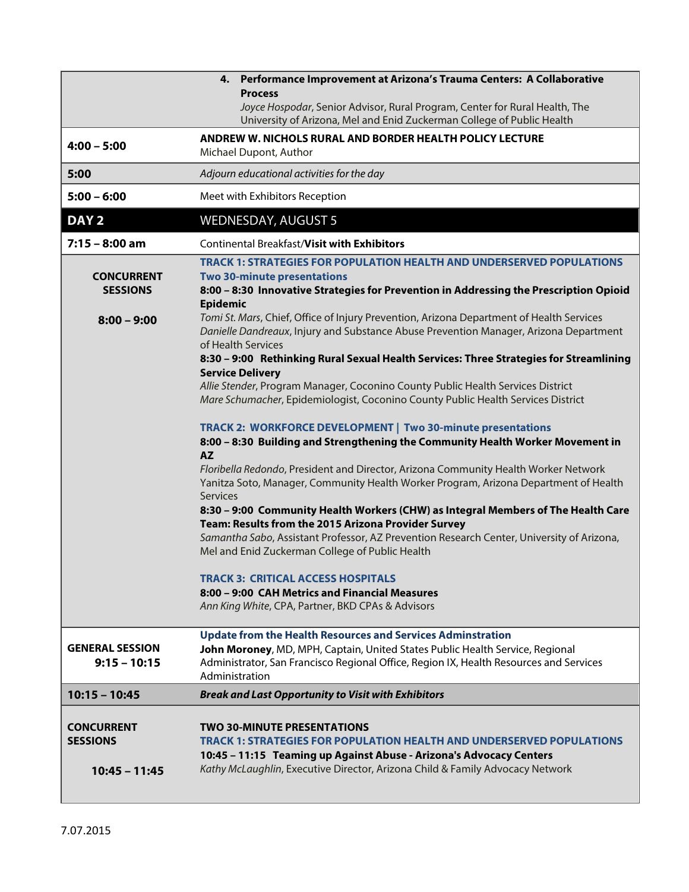|                                          | 4. Performance Improvement at Arizona's Trauma Centers: A Collaborative                                                                                                                                                         |  |  |
|------------------------------------------|---------------------------------------------------------------------------------------------------------------------------------------------------------------------------------------------------------------------------------|--|--|
|                                          | <b>Process</b><br>Joyce Hospodar, Senior Advisor, Rural Program, Center for Rural Health, The<br>University of Arizona, Mel and Enid Zuckerman College of Public Health                                                         |  |  |
| $4:00 - 5:00$                            | ANDREW W. NICHOLS RURAL AND BORDER HEALTH POLICY LECTURE<br>Michael Dupont, Author                                                                                                                                              |  |  |
| 5:00                                     | Adjourn educational activities for the day                                                                                                                                                                                      |  |  |
| $5:00 - 6:00$                            | Meet with Exhibitors Reception                                                                                                                                                                                                  |  |  |
| DAY <sub>2</sub>                         | <b>WEDNESDAY, AUGUST 5</b>                                                                                                                                                                                                      |  |  |
| $7:15 - 8:00$ am                         | <b>Continental Breakfast/Visit with Exhibitors</b>                                                                                                                                                                              |  |  |
| <b>CONCURRENT</b><br><b>SESSIONS</b>     | <b>TRACK 1: STRATEGIES FOR POPULATION HEALTH AND UNDERSERVED POPULATIONS</b><br><b>Two 30-minute presentations</b><br>8:00 - 8:30 Innovative Strategies for Prevention in Addressing the Prescription Opioid<br><b>Epidemic</b> |  |  |
| $8:00 - 9:00$                            | Tomi St. Mars, Chief, Office of Injury Prevention, Arizona Department of Health Services<br>Danielle Dandreaux, Injury and Substance Abuse Prevention Manager, Arizona Department<br>of Health Services                         |  |  |
|                                          | 8:30 - 9:00 Rethinking Rural Sexual Health Services: Three Strategies for Streamlining<br><b>Service Delivery</b>                                                                                                               |  |  |
|                                          | Allie Stender, Program Manager, Coconino County Public Health Services District<br>Mare Schumacher, Epidemiologist, Coconino County Public Health Services District                                                             |  |  |
|                                          | TRACK 2: WORKFORCE DEVELOPMENT   Two 30-minute presentations<br>8:00 - 8:30 Building and Strengthening the Community Health Worker Movement in<br><b>AZ</b>                                                                     |  |  |
|                                          | Floribella Redondo, President and Director, Arizona Community Health Worker Network<br>Yanitza Soto, Manager, Community Health Worker Program, Arizona Department of Health<br>Services                                         |  |  |
|                                          | 8:30 - 9:00 Community Health Workers (CHW) as Integral Members of The Health Care<br>Team: Results from the 2015 Arizona Provider Survey                                                                                        |  |  |
|                                          | Samantha Sabo, Assistant Professor, AZ Prevention Research Center, University of Arizona,<br>Mel and Enid Zuckerman College of Public Health                                                                                    |  |  |
|                                          | TRACK 3: CRITICAL ACCESS HOSPITALS                                                                                                                                                                                              |  |  |
|                                          | 8:00 – 9:00 CAH Metrics and Financial Measures<br>Ann King White, CPA, Partner, BKD CPAs & Advisors                                                                                                                             |  |  |
|                                          | <b>Update from the Health Resources and Services Adminstration</b>                                                                                                                                                              |  |  |
| <b>GENERAL SESSION</b><br>$9:15 - 10:15$ | John Moroney, MD, MPH, Captain, United States Public Health Service, Regional<br>Administrator, San Francisco Regional Office, Region IX, Health Resources and Services<br>Administration                                       |  |  |
| $10:15 - 10:45$                          | <b>Break and Last Opportunity to Visit with Exhibitors</b>                                                                                                                                                                      |  |  |
| <b>CONCURRENT</b><br><b>SESSIONS</b>     | <b>TWO 30-MINUTE PRESENTATIONS</b><br>TRACK 1: STRATEGIES FOR POPULATION HEALTH AND UNDERSERVED POPULATIONS<br>10:45 - 11:15 Teaming up Against Abuse - Arizona's Advocacy Centers                                              |  |  |
| $10:45 - 11:45$                          | Kathy McLaughlin, Executive Director, Arizona Child & Family Advocacy Network                                                                                                                                                   |  |  |

I